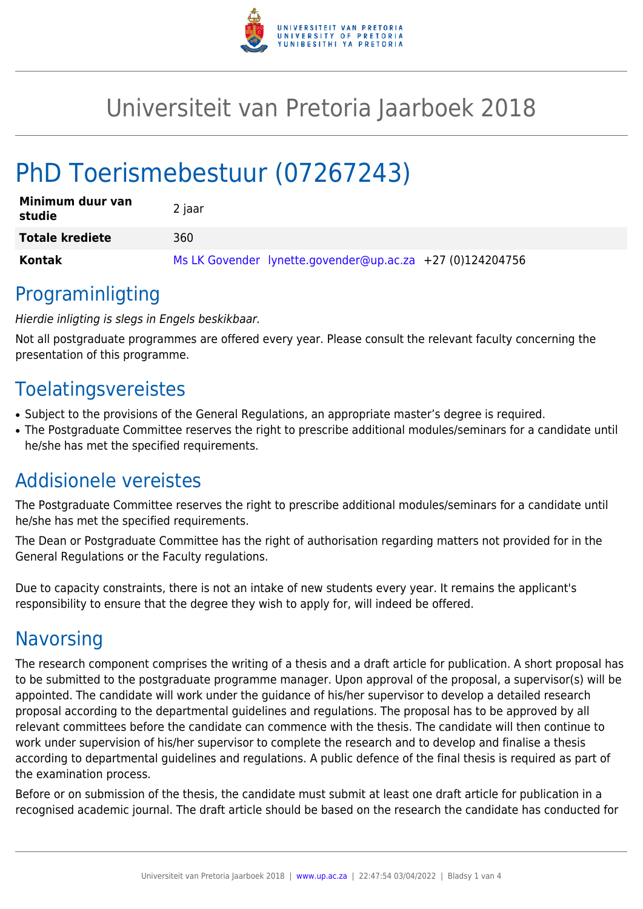

# Universiteit van Pretoria Jaarboek 2018

# PhD Toerismebestuur (07267243)

| Minimum duur van<br>studie | 2 jaar                                                    |
|----------------------------|-----------------------------------------------------------|
| <b>Totale krediete</b>     | 360                                                       |
| Kontak                     | Ms LK Govender lynette.govender@up.ac.za +27 (0)124204756 |

## Programinligting

### Hierdie inligting is slegs in Engels beskikbaar.

Not all postgraduate programmes are offered every year. Please consult the relevant faculty concerning the presentation of this programme.

## Toelatingsvereistes

- Subject to the provisions of the General Regulations, an appropriate master's degree is required.
- The Postgraduate Committee reserves the right to prescribe additional modules/seminars for a candidate until he/she has met the specified requirements.

# Addisionele vereistes

The Postgraduate Committee reserves the right to prescribe additional modules/seminars for a candidate until he/she has met the specified requirements.

The Dean or Postgraduate Committee has the right of authorisation regarding matters not provided for in the General Regulations or the Faculty regulations.

Due to capacity constraints, there is not an intake of new students every year. It remains the applicant's responsibility to ensure that the degree they wish to apply for, will indeed be offered.

# **Navorsing**

The research component comprises the writing of a thesis and a draft article for publication. A short proposal has to be submitted to the postgraduate programme manager. Upon approval of the proposal, a supervisor(s) will be appointed. The candidate will work under the guidance of his/her supervisor to develop a detailed research proposal according to the departmental guidelines and regulations. The proposal has to be approved by all relevant committees before the candidate can commence with the thesis. The candidate will then continue to work under supervision of his/her supervisor to complete the research and to develop and finalise a thesis according to departmental guidelines and regulations. A public defence of the final thesis is required as part of the examination process.

Before or on submission of the thesis, the candidate must submit at least one draft article for publication in a recognised academic journal. The draft article should be based on the research the candidate has conducted for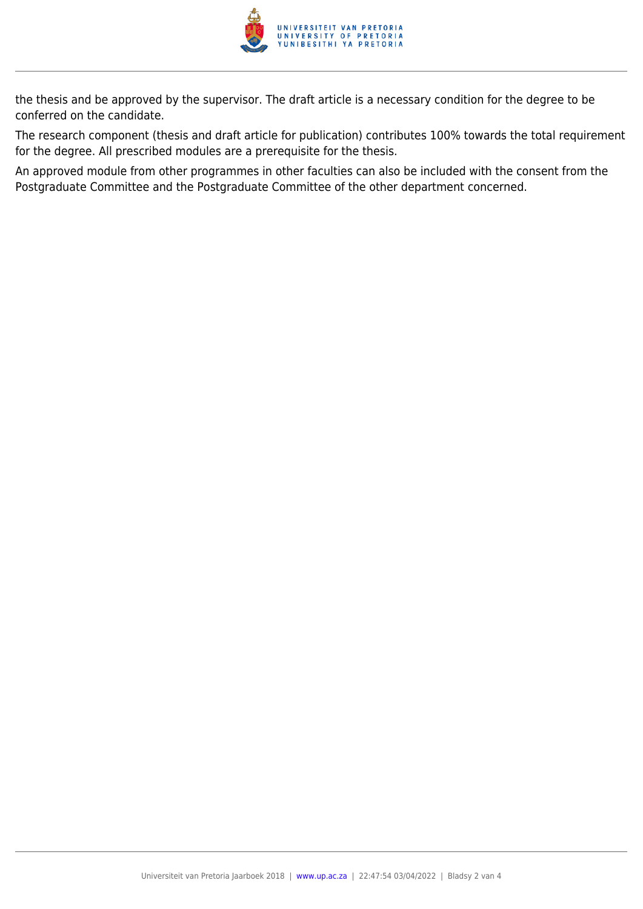

the thesis and be approved by the supervisor. The draft article is a necessary condition for the degree to be conferred on the candidate.

The research component (thesis and draft article for publication) contributes 100% towards the total requirement for the degree. All prescribed modules are a prerequisite for the thesis.

An approved module from other programmes in other faculties can also be included with the consent from the Postgraduate Committee and the Postgraduate Committee of the other department concerned.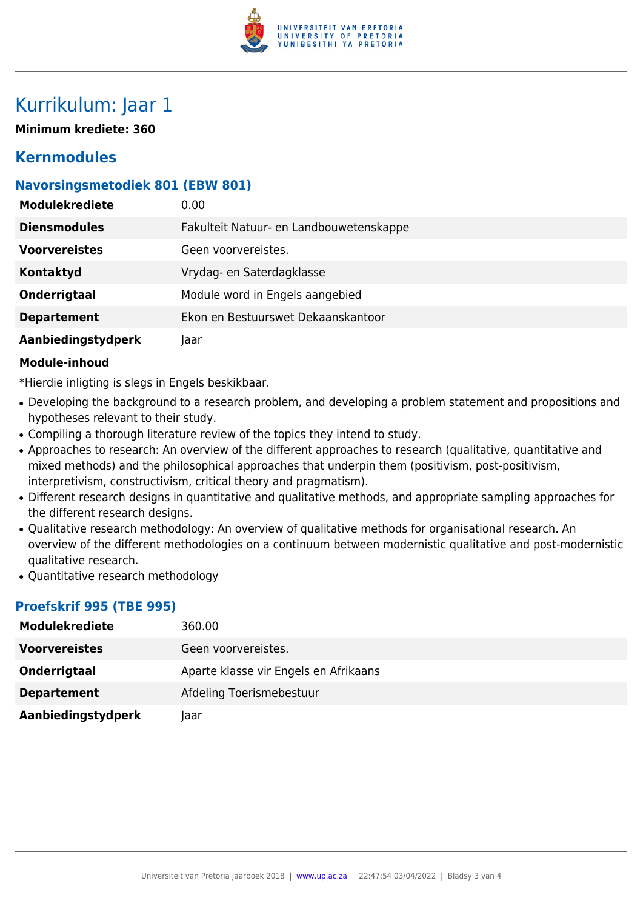

# Kurrikulum: Jaar 1

**Minimum krediete: 360**

## **Kernmodules**

## **Navorsingsmetodiek 801 (EBW 801)**

| <b>Modulekrediete</b> | 0.00 <sub>1</sub>                       |
|-----------------------|-----------------------------------------|
| <b>Diensmodules</b>   | Fakulteit Natuur- en Landbouwetenskappe |
| <b>Voorvereistes</b>  | Geen voorvereistes.                     |
| <b>Kontaktyd</b>      | Vrydag- en Saterdagklasse               |
| Onderrigtaal          | Module word in Engels aangebied         |
| <b>Departement</b>    | Ekon en Bestuurswet Dekaanskantoor      |
| Aanbiedingstydperk    | Jaar                                    |

#### **Module-inhoud**

\*Hierdie inligting is slegs in Engels beskikbaar.

- Developing the background to a research problem, and developing a problem statement and propositions and hypotheses relevant to their study.
- Compiling a thorough literature review of the topics they intend to study.
- Approaches to research: An overview of the different approaches to research (qualitative, quantitative and mixed methods) and the philosophical approaches that underpin them (positivism, post-positivism, interpretivism, constructivism, critical theory and pragmatism).
- Different research designs in quantitative and qualitative methods, and appropriate sampling approaches for the different research designs.
- Qualitative research methodology: An overview of qualitative methods for organisational research. An overview of the different methodologies on a continuum between modernistic qualitative and post-modernistic qualitative research.
- Quantitative research methodology

### **Proefskrif 995 (TBE 995)**

| <b>Modulekrediete</b> | 360.00                                |
|-----------------------|---------------------------------------|
| <b>Voorvereistes</b>  | Geen voorvereistes.                   |
| Onderrigtaal          | Aparte klasse vir Engels en Afrikaans |
| <b>Departement</b>    | Afdeling Toerismebestuur              |
| Aanbiedingstydperk    | laar                                  |